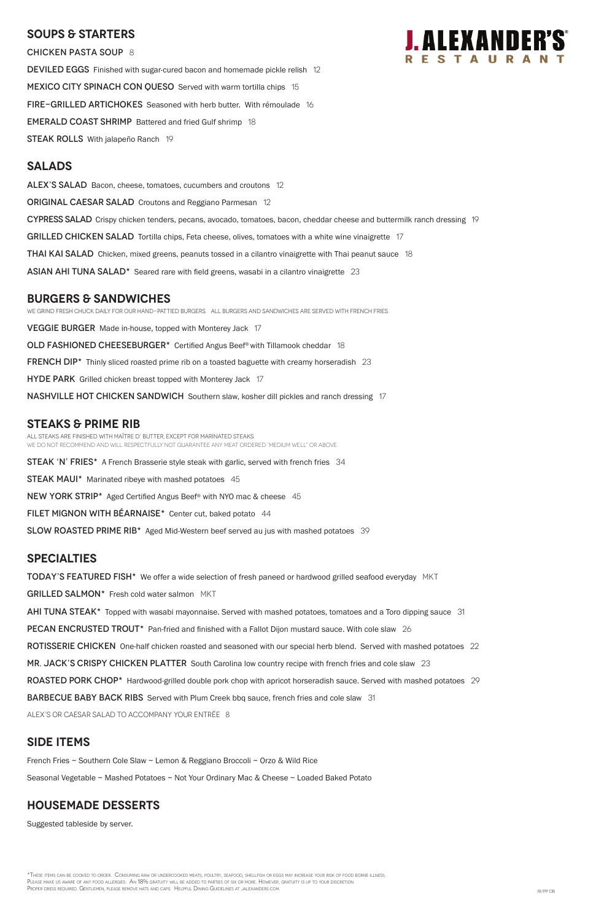### **SOUPS & Starters**

CHICKEN PASTA SOUP 8

DEVILED EGGS Finished with sugar-cured bacon and homemade pickle relish 12 MEXICO CITY SPINACH CON QUESO Served with warm tortilla chips 15 FIRE-GRILLED ARTICHOKES Seasoned with herb butter. With rémoulade 16 EMERALD COAST SHRIMP Battered and fried Gulf shrimp 18 **STEAK ROLLS** With jalapeño Ranch 19

### **Salads**

ALEX'S SALAD Bacon, cheese, tomatoes, cucumbers and croutons 12 **ORIGINAL CAESAR SALAD** Croutons and Reggiano Parmesan 12 CYPRESS SALAD Crispy chicken tenders, pecans, avocado, tomatoes, bacon, cheddar cheese and buttermilk ranch dressing 19 GRILLED CHICKEN SALAD Tortilla chips, Feta cheese, olives, tomatoes with a white wine vinaigrette 17 **THAI KAI SALAD** Chicken, mixed greens, peanuts tossed in a cilantro vinaigrette with Thai peanut sauce 18 ASIAN AHI TUNA SALAD<sup>\*</sup> Seared rare with field greens, wasabi in a cilantro vinaigrette 23

# **burgers & Sandwiches**

We grind fresh chuck daily for our hand-pattied burgers. All Burgers and sandwiches are served with French Fries. VEGGIE BURGER Made in-house, topped with Monterey Jack 17 OLD FASHIONED CHEESEBURGER\* Certified Angus Beef® with Tillamook cheddar 18 **FRENCH DIP\*** Thinly sliced roasted prime rib on a toasted baguette with creamy horseradish 23 HYDE PARK Grilled chicken breast topped with Monterey Jack 17 nashville hot chicken SANDWICH Southern slaw, kosher dill pickles and ranch dressing 17

# **STEAKS & Prime Rib**

All steaks are finished with Maître d' butter, except for marinated steaks. WE DO NOT RECOMMEND AND WILL RESPECTFULLY NOT GUARANTEE ANY MEAT ORDERED 'MEDIUM WELL" OR ABOVE.

STEAK 'N' FRIES\* A French Brasserie style steak with garlic, served with french fries 34

STEAK MAUI\* Marinated ribeye with mashed potatoes 45

NEW YORK STRIP\* Aged Certified Angus Beef® with NYO mac & cheese 45

FILET MIGNON WITH BÉARNAISE\* Center cut, baked potato 44

SLOW ROASTED PRIME RIB<sup>\*</sup> Aged Mid-Western beef served au jus with mashed potatoes 39

\*These items can be cooked to order. Consuming raw or undercooked meats, poultry, seafood, shellfish or eggs may increase your risk of food borne illness. PLEASE MAKE US AWARE OF ANY FOOD ALLERGIES. AN 18% GRATUITY WILL BE ADDED TO PARTIES OF SIX OR MORE. HOWEVER, GRATUITY IS UP TO YOUR DISCRETION. PROPER DRESS REQUIRED. GENTLEMEN, PLEASE REMOVE HATS AND CAPS. HELPFUL DINING GUIDELINES AT JALEXANDERS.COM. RI/PP OB

#### **specialties**

TODAY'S FEATURED FISH\* We offer a wide selection of fresh paneed or hardwood grilled seafood everyday MKT

GRILLED SALMON\* Fresh cold water salmon MKT

AHI TUNA STEAK\* Topped with wasabi mayonnaise. Served with mashed potatoes, tomatoes and a Toro dipping sauce 31

**PECAN ENCRUSTED TROUT\*** Pan-fried and finished with a Fallot Dijon mustard sauce. With cole slaw 26

ROTISSERIE CHICKEN One-half chicken roasted and seasoned with our special herb blend. Served with mashed potatoes 22

MR. JACK'S CRISPY CHICKEN PLATTER South Carolina low country recipe with french fries and cole slaw 23



ROASTED PORK CHOP\* Hardwood-grilled double pork chop with apricot horseradish sauce. Served with mashed potatoes 29

BARBECUE BABY BACK RIBS Served with Plum Creek bbq sauce, french fries and cole slaw 31

ALEX's or Caesar salad to accompany your entrée 8

# **SIDE ITEMS**

French Fries ~ Southern Cole Slaw ~ Lemon & Reggiano Broccoli ~ Orzo & Wild Rice

Seasonal Vegetable ~ Mashed Potatoes ~ Not Your Ordinary Mac & Cheese ~ Loaded Baked Potato

### **housemade DESSERTS**

Suggested tableside by server.